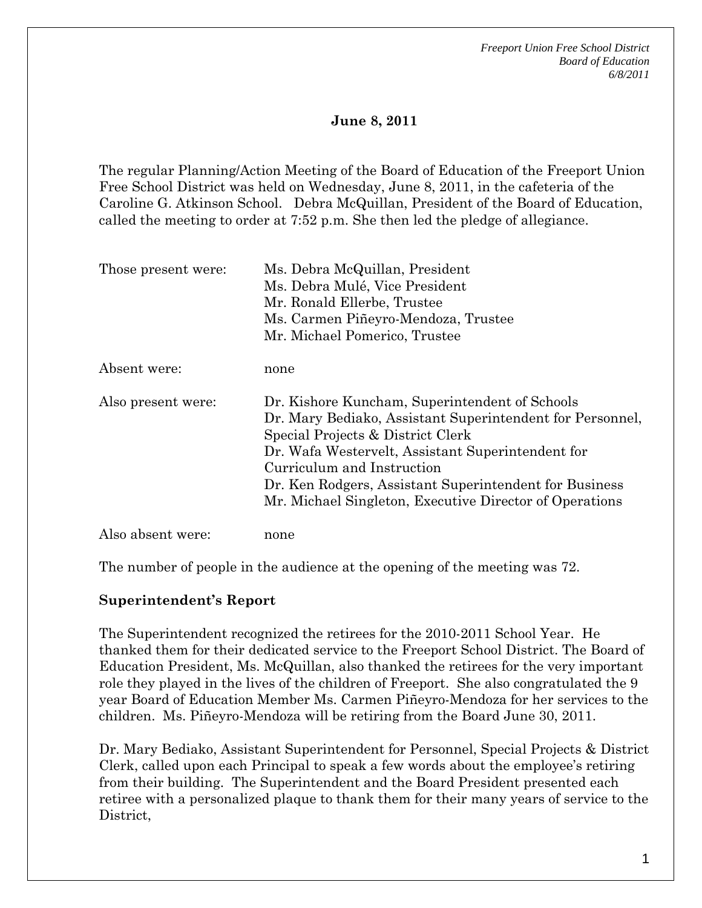*Freeport Union Free School District Board of Education 6/8/2011* 

# **June 8, 2011**

The regular Planning/Action Meeting of the Board of Education of the Freeport Union Free School District was held on Wednesday, June 8, 2011, in the cafeteria of the Caroline G. Atkinson School. Debra McQuillan, President of the Board of Education, called the meeting to order at 7:52 p.m. She then led the pledge of allegiance.

| Those present were: | Ms. Debra McQuillan, President<br>Ms. Debra Mulé, Vice President<br>Mr. Ronald Ellerbe, Trustee<br>Ms. Carmen Piñeyro-Mendoza, Trustee<br>Mr. Michael Pomerico, Trustee                                                                                                                                                                                  |
|---------------------|----------------------------------------------------------------------------------------------------------------------------------------------------------------------------------------------------------------------------------------------------------------------------------------------------------------------------------------------------------|
| Absent were:        | none                                                                                                                                                                                                                                                                                                                                                     |
| Also present were:  | Dr. Kishore Kuncham, Superintendent of Schools<br>Dr. Mary Bediako, Assistant Superintendent for Personnel,<br>Special Projects & District Clerk<br>Dr. Wafa Westervelt, Assistant Superintendent for<br>Curriculum and Instruction<br>Dr. Ken Rodgers, Assistant Superintendent for Business<br>Mr. Michael Singleton, Executive Director of Operations |
| Also absent were:   | none                                                                                                                                                                                                                                                                                                                                                     |

The number of people in the audience at the opening of the meeting was 72.

#### **Superintendent's Report**

The Superintendent recognized the retirees for the 2010-2011 School Year. He thanked them for their dedicated service to the Freeport School District. The Board of Education President, Ms. McQuillan, also thanked the retirees for the very important role they played in the lives of the children of Freeport. She also congratulated the 9 year Board of Education Member Ms. Carmen Piñeyro-Mendoza for her services to the children. Ms. Piñeyro-Mendoza will be retiring from the Board June 30, 2011.

Dr. Mary Bediako, Assistant Superintendent for Personnel, Special Projects & District Clerk, called upon each Principal to speak a few words about the employee's retiring from their building. The Superintendent and the Board President presented each retiree with a personalized plaque to thank them for their many years of service to the District,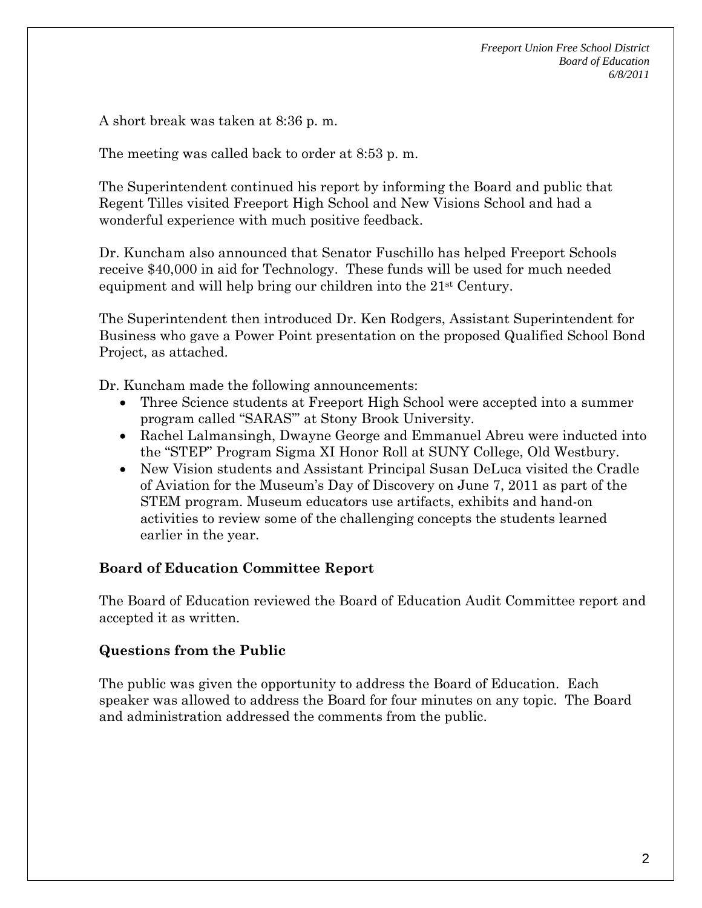*Freeport Union Free School District Board of Education 6/8/2011* 

A short break was taken at 8:36 p. m.

The meeting was called back to order at 8:53 p. m.

The Superintendent continued his report by informing the Board and public that Regent Tilles visited Freeport High School and New Visions School and had a wonderful experience with much positive feedback.

Dr. Kuncham also announced that Senator Fuschillo has helped Freeport Schools receive \$40,000 in aid for Technology. These funds will be used for much needed equipment and will help bring our children into the 21st Century.

The Superintendent then introduced Dr. Ken Rodgers, Assistant Superintendent for Business who gave a Power Point presentation on the proposed Qualified School Bond Project, as attached.

Dr. Kuncham made the following announcements:

- Three Science students at Freeport High School were accepted into a summer program called "SARAS'" at Stony Brook University.
- Rachel Lalmansingh, Dwayne George and Emmanuel Abreu were inducted into the "STEP" Program Sigma XI Honor Roll at SUNY College, Old Westbury.
- New Vision students and Assistant Principal Susan DeLuca visited the Cradle of Aviation for the Museum's Day of Discovery on June 7, 2011 as part of the STEM program. Museum educators use artifacts, exhibits and hand-on activities to review some of the challenging concepts the students learned earlier in the year.

# **Board of Education Committee Report**

The Board of Education reviewed the Board of Education Audit Committee report and accepted it as written.

#### **Questions from the Public**

The public was given the opportunity to address the Board of Education. Each speaker was allowed to address the Board for four minutes on any topic. The Board and administration addressed the comments from the public.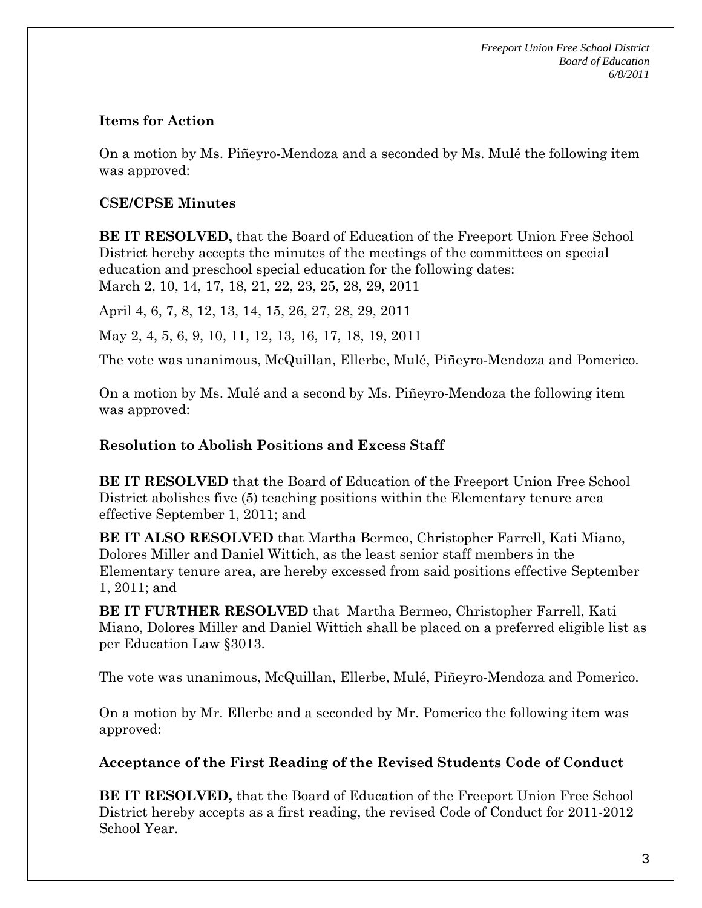*Freeport Union Free School District Board of Education 6/8/2011* 

### **Items for Action**

On a motion by Ms. Piñeyro-Mendoza and a seconded by Ms. Mulé the following item was approved:

### **CSE/CPSE Minutes**

**BE IT RESOLVED,** that the Board of Education of the Freeport Union Free School District hereby accepts the minutes of the meetings of the committees on special education and preschool special education for the following dates: March 2, 10, 14, 17, 18, 21, 22, 23, 25, 28, 29, 2011

April 4, 6, 7, 8, 12, 13, 14, 15, 26, 27, 28, 29, 2011

May 2, 4, 5, 6, 9, 10, 11, 12, 13, 16, 17, 18, 19, 2011

The vote was unanimous, McQuillan, Ellerbe, Mulé, Piñeyro-Mendoza and Pomerico.

On a motion by Ms. Mulé and a second by Ms. Piñeyro-Mendoza the following item was approved:

### **Resolution to Abolish Positions and Excess Staff**

**BE IT RESOLVED** that the Board of Education of the Freeport Union Free School District abolishes five (5) teaching positions within the Elementary tenure area effective September 1, 2011; and

**BE IT ALSO RESOLVED** that Martha Bermeo, Christopher Farrell, Kati Miano, Dolores Miller and Daniel Wittich, as the least senior staff members in the Elementary tenure area, are hereby excessed from said positions effective September 1, 2011; and

**BE IT FURTHER RESOLVED** that Martha Bermeo, Christopher Farrell, Kati Miano, Dolores Miller and Daniel Wittich shall be placed on a preferred eligible list as per Education Law §3013.

The vote was unanimous, McQuillan, Ellerbe, Mulé, Piñeyro-Mendoza and Pomerico.

On a motion by Mr. Ellerbe and a seconded by Mr. Pomerico the following item was approved:

**Acceptance of the First Reading of the Revised Students Code of Conduct** 

**BE IT RESOLVED,** that the Board of Education of the Freeport Union Free School District hereby accepts as a first reading, the revised Code of Conduct for 2011-2012 School Year.